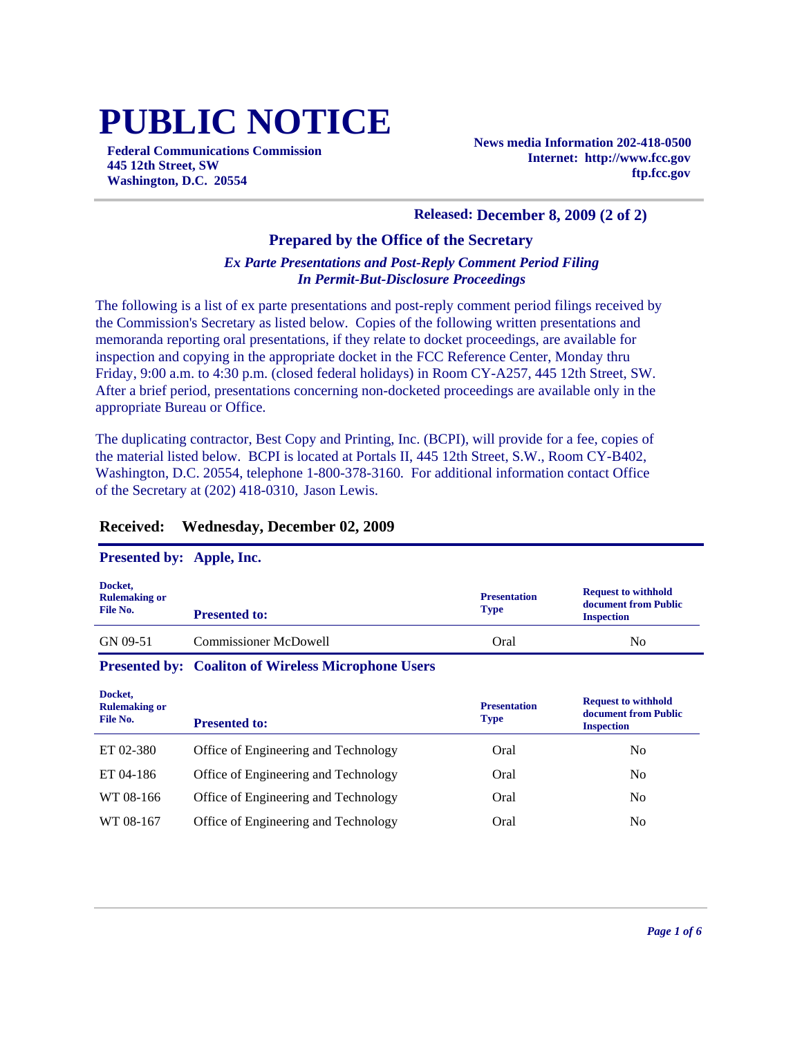# **PUBLIC NOTICE**

**Federal Communications Commission 445 12th Street, SW Washington, D.C. 20554**

**News media Information 202-418-0500 Internet: http://www.fcc.gov ftp.fcc.gov**

#### **Released: December 8, 2009 (2 of 2)**

#### **Prepared by the Office of the Secretary**

#### *Ex Parte Presentations and Post-Reply Comment Period Filing In Permit-But-Disclosure Proceedings*

The following is a list of ex parte presentations and post-reply comment period filings received by the Commission's Secretary as listed below. Copies of the following written presentations and memoranda reporting oral presentations, if they relate to docket proceedings, are available for inspection and copying in the appropriate docket in the FCC Reference Center, Monday thru Friday, 9:00 a.m. to 4:30 p.m. (closed federal holidays) in Room CY-A257, 445 12th Street, SW. After a brief period, presentations concerning non-docketed proceedings are available only in the appropriate Bureau or Office.

The duplicating contractor, Best Copy and Printing, Inc. (BCPI), will provide for a fee, copies of the material listed below. BCPI is located at Portals II, 445 12th Street, S.W., Room CY-B402, Washington, D.C. 20554, telephone 1-800-378-3160. For additional information contact Office of the Secretary at (202) 418-0310, Jason Lewis.

#### **Received: Wednesday, December 02, 2009**

#### **Presented by: Apple, Inc.**

| Docket,<br><b>Rulemaking or</b><br>File No. | <b>Presented to:</b>         | <b>Presentation</b><br><b>Type</b> | <b>Request to withhold</b><br>document from Public<br><b>Inspection</b> |
|---------------------------------------------|------------------------------|------------------------------------|-------------------------------------------------------------------------|
| GN 09-51                                    | <b>Commissioner McDowell</b> | Oral                               | N <sub>0</sub>                                                          |

#### **Presented by: Coaliton of Wireless Microphone Users**

| Docket,<br><b>Rulemaking or</b><br>File No. | <b>Presented to:</b>                 | <b>Presentation</b><br><b>Type</b> | <b>Request to withhold</b><br>document from Public<br><b>Inspection</b> |
|---------------------------------------------|--------------------------------------|------------------------------------|-------------------------------------------------------------------------|
| ET 02-380                                   | Office of Engineering and Technology | Oral                               | No                                                                      |
| ET 04-186                                   | Office of Engineering and Technology | Oral                               | No                                                                      |
| WT 08-166                                   | Office of Engineering and Technology | Oral                               | No                                                                      |
| WT 08-167                                   | Office of Engineering and Technology | Oral                               | No                                                                      |
|                                             |                                      |                                    |                                                                         |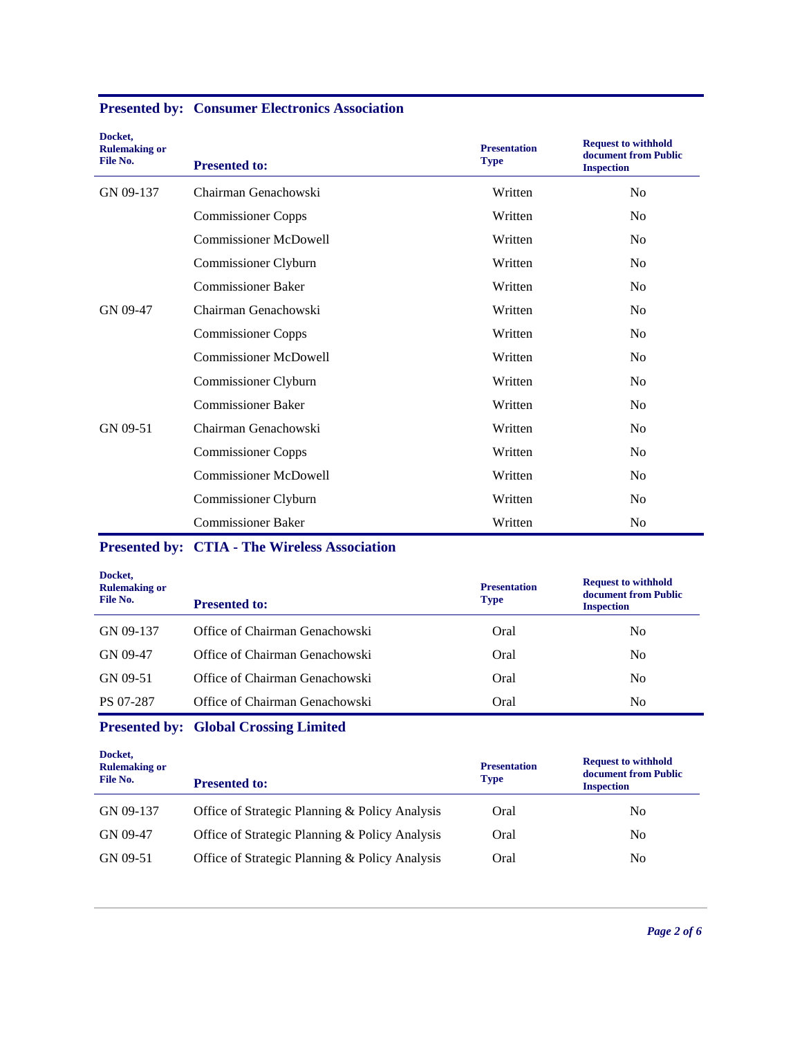| Docket,<br><b>Rulemaking or</b><br>File No. | <b>Presented to:</b>         | <b>Presentation</b><br><b>Type</b> | <b>Request to withhold</b><br>document from Public<br><b>Inspection</b> |
|---------------------------------------------|------------------------------|------------------------------------|-------------------------------------------------------------------------|
| GN 09-137                                   | Chairman Genachowski         | Written                            | N <sub>o</sub>                                                          |
|                                             | <b>Commissioner Copps</b>    | Written                            | No                                                                      |
|                                             | <b>Commissioner McDowell</b> | Written                            | N <sub>0</sub>                                                          |
|                                             | Commissioner Clyburn         | Written                            | No                                                                      |
|                                             | <b>Commissioner Baker</b>    | Written                            | N <sub>0</sub>                                                          |
| GN 09-47                                    | Chairman Genachowski         | Written                            | N <sub>0</sub>                                                          |
|                                             | <b>Commissioner Copps</b>    | Written                            | N <sub>0</sub>                                                          |
|                                             | <b>Commissioner McDowell</b> | Written                            | N <sub>0</sub>                                                          |
|                                             | Commissioner Clyburn         | Written                            | N <sub>0</sub>                                                          |
|                                             | <b>Commissioner Baker</b>    | Written                            | N <sub>0</sub>                                                          |
| GN 09-51                                    | Chairman Genachowski         | Written                            | N <sub>0</sub>                                                          |
|                                             | <b>Commissioner Copps</b>    | Written                            | N <sub>0</sub>                                                          |
|                                             | <b>Commissioner McDowell</b> | Written                            | N <sub>0</sub>                                                          |
|                                             | Commissioner Clyburn         | Written                            | No                                                                      |
|                                             | <b>Commissioner Baker</b>    | Written                            | N <sub>0</sub>                                                          |

### **Presented by: Consumer Electronics Association**

## **Presented by: CTIA - The Wireless Association**

| Docket,<br><b>Rulemaking or</b><br>File No. | <b>Presented to:</b>           | <b>Presentation</b><br><b>Type</b> | <b>Request to withhold</b><br>document from Public<br><b>Inspection</b> |
|---------------------------------------------|--------------------------------|------------------------------------|-------------------------------------------------------------------------|
| GN 09-137                                   | Office of Chairman Genachowski | Oral                               | No                                                                      |
| GN 09-47                                    | Office of Chairman Genachowski | Oral                               | No                                                                      |
| GN 09-51                                    | Office of Chairman Genachowski | Oral                               | No                                                                      |
| PS 07-287                                   | Office of Chairman Genachowski | Oral                               | No                                                                      |

## **Presented by: Global Crossing Limited**

| Docket,<br><b>Rulemaking or</b><br>File No. | <b>Presented to:</b>                           | <b>Presentation</b><br><b>Type</b> | <b>Request to withhold</b><br>document from Public<br><b>Inspection</b> |
|---------------------------------------------|------------------------------------------------|------------------------------------|-------------------------------------------------------------------------|
| GN 09-137                                   | Office of Strategic Planning & Policy Analysis | Oral                               | No                                                                      |
| GN 09-47                                    | Office of Strategic Planning & Policy Analysis | Oral                               | N <sub>0</sub>                                                          |
| GN 09-51                                    | Office of Strategic Planning & Policy Analysis | Oral                               | No                                                                      |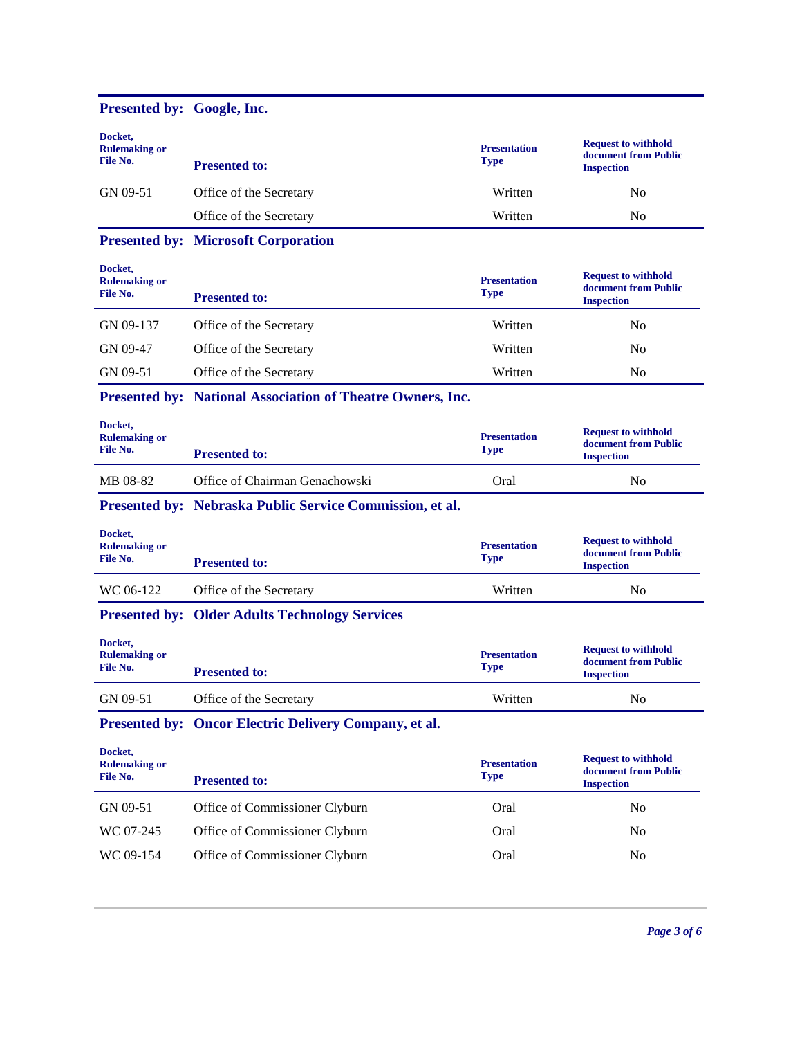| Presented by: Google, Inc.                  |                                                            |                                    |                                                                         |
|---------------------------------------------|------------------------------------------------------------|------------------------------------|-------------------------------------------------------------------------|
| Docket,<br><b>Rulemaking or</b><br>File No. | <b>Presented to:</b>                                       | <b>Presentation</b><br><b>Type</b> | <b>Request to withhold</b><br>document from Public<br><b>Inspection</b> |
| GN 09-51                                    | Office of the Secretary                                    | Written                            | N <sub>0</sub>                                                          |
|                                             | Office of the Secretary                                    | Written                            | No                                                                      |
|                                             | <b>Presented by: Microsoft Corporation</b>                 |                                    |                                                                         |
| Docket,<br><b>Rulemaking or</b><br>File No. | <b>Presented to:</b>                                       | <b>Presentation</b><br><b>Type</b> | <b>Request to withhold</b><br>document from Public<br><b>Inspection</b> |
| GN 09-137                                   | Office of the Secretary                                    | Written                            | N <sub>0</sub>                                                          |
| GN 09-47                                    | Office of the Secretary                                    | Written                            | No                                                                      |
| GN 09-51                                    | Office of the Secretary                                    | Written                            | No                                                                      |
|                                             | Presented by: National Association of Theatre Owners, Inc. |                                    |                                                                         |
| Docket,<br><b>Rulemaking or</b><br>File No. | <b>Presented to:</b>                                       | <b>Presentation</b><br><b>Type</b> | <b>Request to withhold</b><br>document from Public<br><b>Inspection</b> |
| MB 08-82                                    | Office of Chairman Genachowski                             | Oral                               | N <sub>0</sub>                                                          |
|                                             | Presented by: Nebraska Public Service Commission, et al.   |                                    |                                                                         |
| Docket,<br><b>Rulemaking or</b><br>File No. | <b>Presented to:</b>                                       | <b>Presentation</b><br><b>Type</b> | <b>Request to withhold</b><br>document from Public<br><b>Inspection</b> |
| WC 06-122                                   | Office of the Secretary                                    | Written                            | No                                                                      |
|                                             | <b>Presented by: Older Adults Technology Services</b>      |                                    |                                                                         |
| Docket,<br><b>Rulemaking or</b>             |                                                            | <b>Presentation</b>                | <b>Request to withhold</b>                                              |
| File No.                                    | <b>Presented to:</b>                                       | <b>Type</b>                        | document from Public<br><b>Inspection</b>                               |
| GN 09-51                                    | Office of the Secretary                                    | Written                            | No                                                                      |
|                                             | Presented by: Oncor Electric Delivery Company, et al.      |                                    |                                                                         |
| Docket,<br><b>Rulemaking or</b><br>File No. | <b>Presented to:</b>                                       | <b>Presentation</b><br><b>Type</b> | <b>Request to withhold</b><br>document from Public<br><b>Inspection</b> |
| GN 09-51                                    | Office of Commissioner Clyburn                             | Oral                               | No                                                                      |
| WC 07-245                                   | Office of Commissioner Clyburn                             | Oral                               | No                                                                      |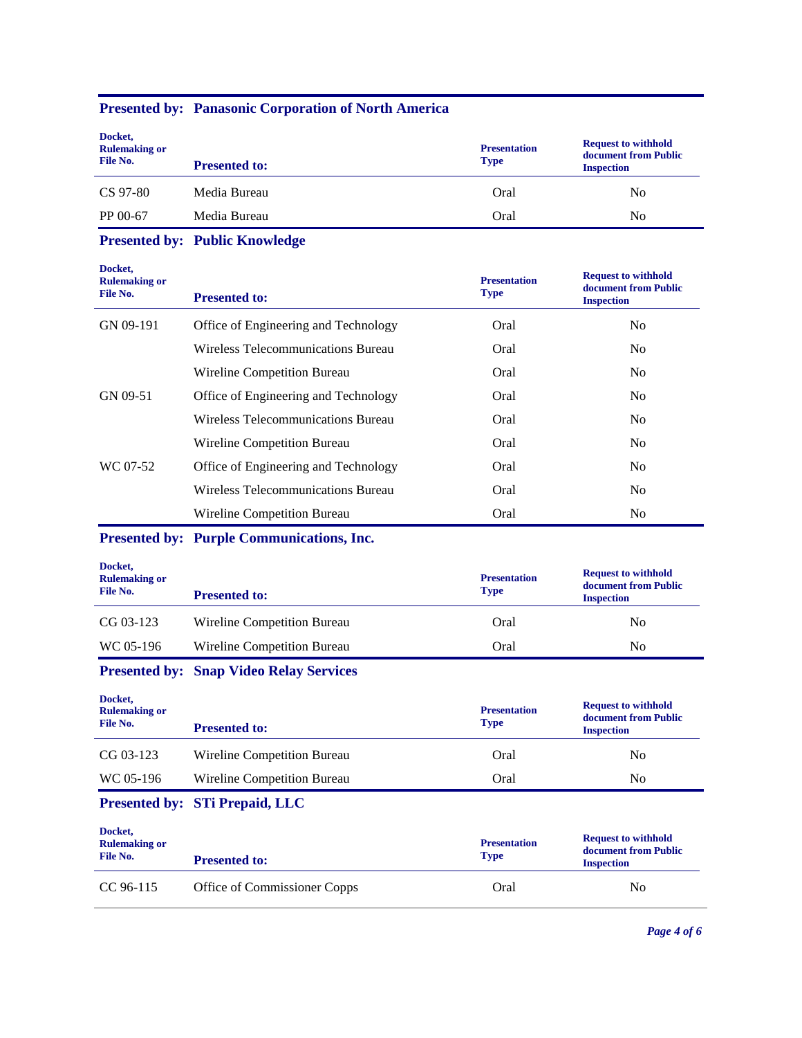| Docket,<br><b>Rulemaking or</b><br>File No. | <b>Presented to:</b> | <b>Presentation</b><br><b>Type</b> | <b>Request to withhold</b><br>document from Public<br><b>Inspection</b> |
|---------------------------------------------|----------------------|------------------------------------|-------------------------------------------------------------------------|
| CS 97-80                                    | Media Bureau         | Oral                               | No                                                                      |
| PP 00-67                                    | Media Bureau         | Oral                               | No                                                                      |

# **Presented by: Public Knowledge**

**Presented by: Panasonic Corporation of North America**

| Docket,<br><b>Rulemaking or</b><br>File No. | <b>Presented to:</b>                 | <b>Presentation</b><br><b>Type</b> | <b>Request to withhold</b><br>document from Public<br><b>Inspection</b> |
|---------------------------------------------|--------------------------------------|------------------------------------|-------------------------------------------------------------------------|
| GN 09-191                                   | Office of Engineering and Technology | Oral                               | N <sub>0</sub>                                                          |
|                                             | Wireless Telecommunications Bureau   | Oral                               | N <sub>0</sub>                                                          |
|                                             | Wireline Competition Bureau          | Oral                               | N <sub>o</sub>                                                          |
| GN 09-51                                    | Office of Engineering and Technology | Oral                               | N <sub>0</sub>                                                          |
|                                             | Wireless Telecommunications Bureau   | Oral                               | N <sub>0</sub>                                                          |
|                                             | Wireline Competition Bureau          | Oral                               | N <sub>o</sub>                                                          |
| WC 07-52                                    | Office of Engineering and Technology | Oral                               | No.                                                                     |
|                                             | Wireless Telecommunications Bureau   | Oral                               | N <sub>0</sub>                                                          |
|                                             | Wireline Competition Bureau          | Oral                               | N <sub>0</sub>                                                          |

## **Presented by: Purple Communications, Inc.**

|                             | <b>Presentation</b> | <b>Request to withhold</b><br>document from Public |
|-----------------------------|---------------------|----------------------------------------------------|
| <b>Presented to:</b>        |                     | <b>Inspection</b>                                  |
| Wireline Competition Bureau | Oral                | No                                                 |
| Wireline Competition Bureau | Oral                | No                                                 |
|                             |                     | <b>Type</b>                                        |

## **Presented by: Snap Video Relay Services**

| Docket,<br><b>Rulemaking or</b><br>File No. | <b>Presented to:</b>        | <b>Presentation</b><br><b>Type</b> | <b>Request to withhold</b><br>document from Public<br><b>Inspection</b> |
|---------------------------------------------|-----------------------------|------------------------------------|-------------------------------------------------------------------------|
| CG 03-123                                   | Wireline Competition Bureau | Oral                               | N <sub>0</sub>                                                          |
| WC 05-196                                   | Wireline Competition Bureau | Oral                               | No                                                                      |

### **Presented by: STi Prepaid, LLC**

| Docket,<br><b>Rulemaking or</b><br>File No. | <b>Presented to:</b>         | <b>Presentation</b><br><b>Type</b> | <b>Request to withhold</b><br>document from Public<br><b>Inspection</b> |
|---------------------------------------------|------------------------------|------------------------------------|-------------------------------------------------------------------------|
| CC 96-115                                   | Office of Commissioner Copps | Oral                               | No                                                                      |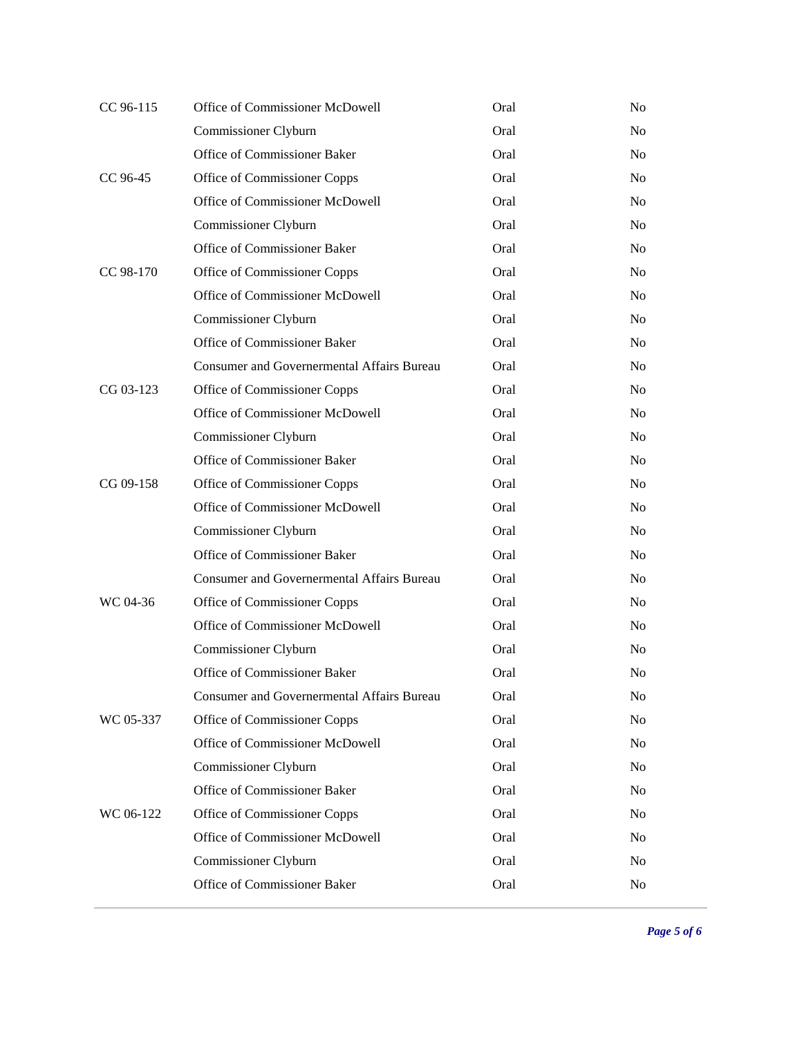| Office of Commissioner McDowell                   | Oral | N <sub>o</sub> |
|---------------------------------------------------|------|----------------|
| Commissioner Clyburn                              | Oral | N <sub>o</sub> |
| Office of Commissioner Baker                      | Oral | N <sub>0</sub> |
| Office of Commissioner Copps                      | Oral | N <sub>0</sub> |
| Office of Commissioner McDowell                   | Oral | N <sub>0</sub> |
| Commissioner Clyburn                              | Oral | N <sub>0</sub> |
| Office of Commissioner Baker                      | Oral | N <sub>0</sub> |
| Office of Commissioner Copps                      | Oral | N <sub>o</sub> |
| Office of Commissioner McDowell                   | Oral | N <sub>o</sub> |
| Commissioner Clyburn                              | Oral | N <sub>o</sub> |
| Office of Commissioner Baker                      | Oral | N <sub>o</sub> |
| <b>Consumer and Governermental Affairs Bureau</b> | Oral | N <sub>o</sub> |
| Office of Commissioner Copps                      | Oral | N <sub>o</sub> |
| Office of Commissioner McDowell                   | Oral | N <sub>o</sub> |
| Commissioner Clyburn                              | Oral | N <sub>o</sub> |
| Office of Commissioner Baker                      | Oral | N <sub>o</sub> |
| Office of Commissioner Copps                      | Oral | N <sub>o</sub> |
| Office of Commissioner McDowell                   | Oral | N <sub>o</sub> |
| Commissioner Clyburn                              | Oral | N <sub>o</sub> |
| Office of Commissioner Baker                      | Oral | N <sub>o</sub> |
| <b>Consumer and Governermental Affairs Bureau</b> | Oral | N <sub>o</sub> |
| Office of Commissioner Copps                      | Oral | N <sub>o</sub> |
| Office of Commissioner McDowell                   | Oral | N <sub>o</sub> |
| Commissioner Clyburn                              | Oral | N <sub>o</sub> |
| Office of Commissioner Baker                      | Oral | N <sub>o</sub> |
| <b>Consumer and Governermental Affairs Bureau</b> | Oral | N <sub>o</sub> |
| Office of Commissioner Copps                      | Oral | N <sub>0</sub> |
| Office of Commissioner McDowell                   | Oral | No             |
| Commissioner Clyburn                              | Oral | N <sub>0</sub> |
| Office of Commissioner Baker                      | Oral | N <sub>o</sub> |
| Office of Commissioner Copps                      | Oral | N <sub>0</sub> |
| Office of Commissioner McDowell                   | Oral | N <sub>o</sub> |
| Commissioner Clyburn                              | Oral | N <sub>0</sub> |
| Office of Commissioner Baker                      | Oral | No             |
|                                                   |      |                |